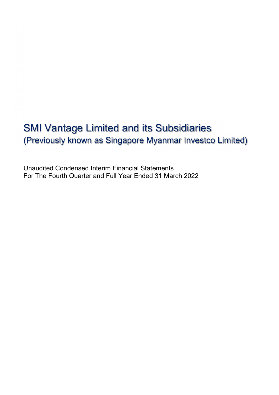# SMI Vantage Limited and its Subsidiaries (Previously known as Singapore Myanmar Investco Limited)

Unaudited Condensed Interim Financial Statements For The Fourth Quarter and Full Year Ended 31 March 2022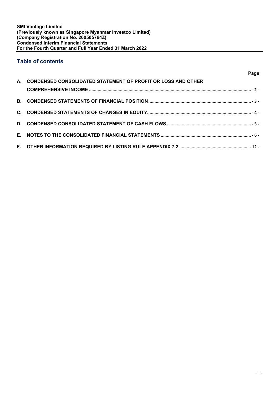# Table of contents

|                                                                 | Page |
|-----------------------------------------------------------------|------|
| A. CONDENSED CONSOLIDATED STATEMENT OF PROFIT OR LOSS AND OTHER |      |
|                                                                 |      |
|                                                                 |      |
|                                                                 |      |
|                                                                 |      |
|                                                                 |      |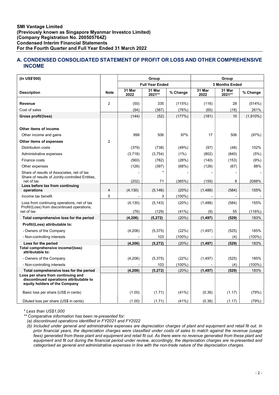# A. CONDENSED CONSOLIDATED STATEMENT OF PROFIT OR LOSS AND OTHER COMPREHENSIVE INCOME

| (In US\$'000)                                                                                                                                             |                | Group                  |                  |                 | Group             |                          |               |
|-----------------------------------------------------------------------------------------------------------------------------------------------------------|----------------|------------------------|------------------|-----------------|-------------------|--------------------------|---------------|
|                                                                                                                                                           |                | <b>Full Year Ended</b> |                  |                 |                   | <b>3 Months Ended</b>    |               |
| <b>Description</b>                                                                                                                                        | <b>Note</b>    | 31 Mar<br>2022         | 31 Mar<br>2021** | % Change        | 31 Mar<br>2022    | 31 Mar<br>2021**         | % Change      |
| Revenue                                                                                                                                                   | $\overline{c}$ | (50)                   | 335              | (115%)          | (116)             | 28                       | (514%)        |
| Cost of sales                                                                                                                                             |                | (94)                   | (387)            | (76%)           | (65)              | (18)                     | 261%          |
| Gross profit/(loss)                                                                                                                                       |                | (144)                  | (52)             | (177%)          | (181)             | 10                       | $(1,910\%)$   |
|                                                                                                                                                           |                |                        |                  |                 |                   |                          |               |
| Other items of income                                                                                                                                     |                |                        |                  |                 |                   |                          |               |
| Other income and gains                                                                                                                                    |                | 999                    | 506              | 97%             | 17                | 506                      | (97%)         |
| Other items of expenses                                                                                                                                   | $\overline{2}$ |                        |                  |                 |                   |                          |               |
| <b>Distribution costs</b>                                                                                                                                 |                | (379)                  | (738)            | (49%)           | (97)              | (48)                     | 102%          |
| Administrative expenses                                                                                                                                   |                | (3,718)                | (3,754)          | (1%)            | (802)             | (840)                    | (5%)          |
| Finance costs                                                                                                                                             |                | (560)                  | (782)            | (28%)           | (140)             | (153)                    | (9%)          |
| Other expenses                                                                                                                                            |                | (126)                  | (397)            | (68%)           | (126)             | (67)                     | 88%           |
| Share of results of Associates, net of tax<br>Share of results of Jointly-controlled Entities,                                                            |                |                        |                  |                 |                   | $\overline{\phantom{0}}$ |               |
| net of tax<br>Loss before tax from continuing<br>operations                                                                                               | $\overline{4}$ | (202)<br>(4, 130)      | 71<br>(5, 146)   | (385%)<br>(20%) | (159)<br>(1, 488) | 8<br>(584)               | 2088%<br>155% |
| Income tax benefit                                                                                                                                        | 5              |                        | 3                | $(100\%)$       |                   | ä,                       |               |
| Loss from continuing operations, net of tax                                                                                                               |                | (4, 130)               | (5, 143)         | (20%)           | (1,488)           | (584)                    | 155%          |
| Profit/(Loss) from discontinued operations,<br>net of tax                                                                                                 |                | (76)                   | (129)            | (41%)           | (9)               | 55                       | (116%)        |
| Total comprehensive loss for the period                                                                                                                   |                | (4, 206)               | (5, 272)         | (20%)           | (1, 497)          | (529)                    | 183%          |
| Profit/(Loss) attributable to:                                                                                                                            |                |                        |                  |                 |                   |                          |               |
| - Owners of the Company                                                                                                                                   |                | (4,206)                | (5, 375)         | (22%)           | (1, 497)          | (525)                    | 185%          |
| - Non-controlling interests                                                                                                                               |                |                        | 103              | $(100\%)$       |                   | (4)                      | (100%)        |
| Loss for the period                                                                                                                                       |                | (4, 206)               | (5,272)          | (20%)           | (1, 497)          | (529)                    | 183%          |
| Total comprehensive income/(loss)<br>attributable to:                                                                                                     |                |                        |                  |                 |                   |                          |               |
| - Owners of the Company                                                                                                                                   |                | (4,206)                | (5,375)          | (22%)           | (1, 497)          | (525)                    | 185%          |
| - Non-controlling interests                                                                                                                               |                |                        | 103              | $(100\%)$       |                   | (4)                      | $(100\%)$     |
| Total comprehensive loss for the period<br>Loss per share from continuing and<br>discontinued operations attributable to<br>equity holders of the Company |                | (4, 206)               | (5,272)          | (20%)           | (1, 497)          | (529)                    | 183%          |
| Basic loss per share (US\$ in cents)                                                                                                                      |                | (1.00)                 | (1.71)           | (41%)           | (0.36)            | (1.17)                   | (79%)         |
| Diluted loss per share (US\$ in cents)                                                                                                                    |                | (1.00)                 | (1.71)           | (41%)           | (0.36)            | (1.17)                   | (79%)         |

\* Less than US\$1,000

\*\* Comparative information has been re-presented for:

(a) discontinued operations identified in FY2021 and FY2022

(b) Included under general and administrative expenses are depreciation charges of plant and equipment and retail fit out. In prior financial years, the depreciation charges were classified under costs of sales to match against the revenue (usage fees) generated from these plant and equipment and retail fit out. As there were no revenue generated from these plant and equipment and fit out during the financial period under review, accordingly, the depreciation charges are re-presented and categorised as general and administrative expenses in line with the non-trade nature of the depreciation charges.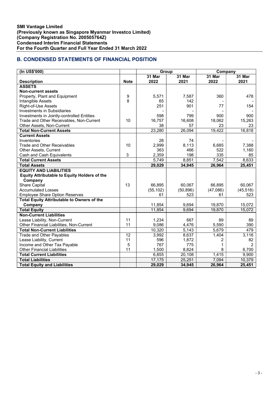# B. CONDENSED STATEMENTS OF FINANCIAL POSITION

| (In US\$'000)                                       |                 | Group     |           | Company        |           |
|-----------------------------------------------------|-----------------|-----------|-----------|----------------|-----------|
|                                                     |                 | 31 Mar    | 31 Mar    | 31 Mar         | $31$ Mar  |
| <b>Description</b>                                  | <b>Note</b>     | 2022      | 2021      | 2022           | 2021      |
| <b>ASSETS</b>                                       |                 |           |           |                |           |
| <b>Non-current assets</b>                           |                 |           |           |                |           |
| Property, Plant and Equipment                       | 9               | 5,571     | 7,587     | 360            | 478       |
| Intangible Assets                                   | 8               | 65        | 142       |                |           |
| Right-of-Use Assets                                 |                 | 251       | 901       | 77             | 154       |
| <b>Investments in Subsidiaries</b>                  |                 |           |           |                |           |
| Investments in Jointly-controlled Entities          |                 | 598       | 799       | 900            | 900       |
| Trade and Other Receivables, Non-Current            | 10              | 16,757    | 16,608    | 18,062         | 15,263    |
| Other Assets, Non-Current                           |                 | 38        | 57        | 23             | 23        |
| <b>Total Non-Current Assets</b>                     |                 | 23,280    | 26,094    | 19,422         | 16,818    |
| <b>Current Assets</b>                               |                 |           |           |                |           |
| Inventories                                         |                 | 28        | 74        |                |           |
| <b>Trade and Other Receivables</b>                  | 10              | 2,999     | 8,113     | 6,685          | 7,388     |
| Other Assets, Current                               |                 | 363       | 466       | 522            | 1,160     |
| Cash and Cash Equivalents                           | 3               | 2,359     | 198       | 335            | 85        |
| <b>Total Current Assets</b>                         |                 | 5,749     | 8,851     | 7,542          | 8,633     |
| <b>Total Assets</b>                                 |                 | 29,029    | 34,945    | 26,964         | 25,451    |
| <b>EQUITY AND LIABILITIES</b>                       |                 |           |           |                |           |
| <b>Equity Attributable to Equity Holders of the</b> |                 |           |           |                |           |
| Company                                             |                 |           |           |                |           |
| <b>Share Capital</b>                                | 13              | 66,895    | 60,067    | 66,895         | 60,067    |
| <b>Accumulated Losses</b>                           |                 | (55, 102) | (50, 896) | (47,086)       | (45, 518) |
| <b>Employee Share Option Reserves</b>               |                 | 61        | 523       | 61             | 523       |
| <b>Total Equity Attributable to Owners of the</b>   |                 |           |           |                |           |
| Company                                             |                 | 11,854    | 9,694     | 19,870         | 15,072    |
| <b>Total Equity</b>                                 |                 | 11,854    | 9,694     | 19,870         | 15,072    |
| <b>Non-Current Liabilities</b>                      |                 |           |           |                |           |
| Lease Liability, Non-Current                        | 11              | 1,234     | 667       | 89             | 89        |
| Other Financial Liabilities, Non-Current            | 11              | 9,086     | 4,476     | 5,590          | 390       |
| <b>Total Non-Current Liabilities</b>                |                 | 10,320    | 5,143     | 5,679          | 479       |
| Trade and Other Payables                            | $\overline{12}$ | 3,992     | 8,637     | 1,404          | 3,116     |
| Lease Liability, Current                            | 11              | 596       | 1.872     | $\overline{2}$ | 82        |
| Income and Other Tax Payable                        | 5               | 767       | 775       | 1              | 2         |
| <b>Other Financial Liabilities</b>                  | 11              | 1,500     | 8,824     | 8              | 6,700     |
| <b>Total Current Liabilities</b>                    |                 | 6,855     | 20,108    | 1,415          | 9,900     |
| <b>Total Liabilities</b>                            |                 | 17,175    | 25,251    | 7,094          | 10,379    |
| <b>Total Equity and Liabilities</b>                 |                 | 29,029    | 34,945    | 26,964         | 25,451    |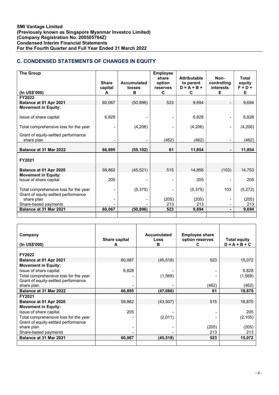# C. CONDENSED STATEMENTS OF CHANGES IN EQUITY

| <b>The Group</b>                                                             | <b>Share</b><br>capital | <b>Accumulated</b><br>losses | <b>Employee</b><br>share<br>option<br>reserves | <b>Attributable</b><br>to parent<br>$D = A + B +$ | Non-<br>controlling<br>interests | <b>Total</b><br>equity<br>$F = D +$ |
|------------------------------------------------------------------------------|-------------------------|------------------------------|------------------------------------------------|---------------------------------------------------|----------------------------------|-------------------------------------|
| (In US\$'000)                                                                | A                       | в                            | C                                              | C                                                 | Е                                | Е                                   |
| FY2022                                                                       |                         |                              |                                                |                                                   |                                  |                                     |
| Balance at 01 Apr 2021                                                       | 60,067                  | (50, 896)                    | 523                                            | 9,694                                             |                                  | 9,694                               |
| <b>Movement in Equity:</b>                                                   |                         |                              |                                                |                                                   |                                  |                                     |
| Issue of share capital                                                       | 6,828                   |                              |                                                | 6,828                                             |                                  | 6,828                               |
| Total comprehensive loss for the year                                        |                         | (4,206)                      |                                                | (4,206)                                           | $\qquad \qquad \blacksquare$     | (4,206)                             |
| Grant of equity-settled performance<br>share plan                            |                         |                              | (462)                                          | (462)                                             | $\qquad \qquad \blacksquare$     | (462)                               |
| Balance at 31 Mar 2022                                                       | 66,895                  | (55, 102)                    | 61                                             | 11,854                                            |                                  | 11,854                              |
| FY2021                                                                       |                         |                              |                                                |                                                   |                                  |                                     |
| Balance at 01 Apr 2020                                                       | 59,862                  | (45, 521)                    | 515                                            | 14,856                                            | (103)                            | 14,753                              |
| <b>Movement in Equity:</b><br>Issue of share capital                         | 205                     |                              |                                                | 205                                               |                                  | 205                                 |
| Total comprehensive loss for the year<br>Grant of equity-settled performance |                         | (5, 375)                     |                                                | (5,375)                                           | 103                              | (5,272)                             |
| share plan<br>Share-based payments                                           |                         |                              | (205)<br>213                                   | (205)<br>213                                      |                                  | (205)<br>213                        |
| <b>Balance at 31 Mar 2021</b>                                                | 60,067                  | (50, 896)                    | 523                                            | 9,694                                             | $\blacksquare$                   | 9,694                               |
|                                                                              |                         |                              |                                                |                                                   |                                  |                                     |

| Company<br>(In US\$'000)              | Share capital<br>A | Accumulated<br>Loss<br>в | <b>Employee share</b><br>option reserves<br>C | <b>Total equity</b><br>$D = A + B + C$ |
|---------------------------------------|--------------------|--------------------------|-----------------------------------------------|----------------------------------------|
|                                       |                    |                          |                                               |                                        |
| FY2022                                |                    |                          |                                               |                                        |
| Balance at 01 Apr 2021                | 60,067             | (45, 518)                | 523                                           | 15,072                                 |
| <b>Movement in Equity:</b>            |                    |                          |                                               |                                        |
| Issue of share capital                | 6,828              |                          |                                               | 6,828                                  |
| Total comprehensive loss for the year |                    | (1,568)                  |                                               | (1, 568)                               |
| Grant of equity-settled performance   |                    |                          |                                               |                                        |
| share plan                            |                    |                          | (462)                                         | (462)                                  |
| Balance at 31 Mar 2022                | 66,895             | (47, 086)                | 61                                            | 19,870                                 |
| FY2021                                |                    |                          |                                               |                                        |
| Balance at 01 Apr 2020                | 59,862             | (43, 507)                | 515                                           | 16,870                                 |
| <b>Movement in Equity:</b>            |                    |                          |                                               |                                        |
| Issue of share capital                | 205                |                          |                                               | 205                                    |
| Total comprehensive loss for the year |                    | (2,011)                  |                                               | (2, 105)                               |
| Grant of equity-settled performance   |                    |                          |                                               |                                        |
| share plan                            |                    |                          | (205)                                         | (205)                                  |
| Share-based payments                  |                    |                          | 213                                           | 213                                    |
| Balance at 31 Mar 2021                | 60,067             | (45, 518)                | 523                                           | 15,072                                 |
|                                       |                    |                          |                                               |                                        |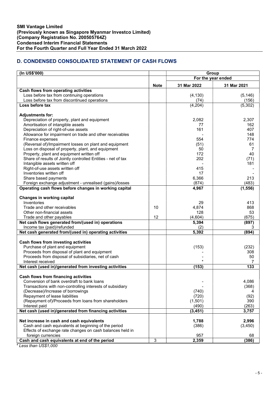# D. CONDENSED CONSOLIDATED STATEMENT OF CASH FLOWS

| (In US\$'000)                                                                   |              | Group              |                   |  |  |
|---------------------------------------------------------------------------------|--------------|--------------------|-------------------|--|--|
|                                                                                 |              | For the year ended |                   |  |  |
|                                                                                 | <b>Note</b>  | 31 Mar 2022        | 31 Mar 2021       |  |  |
| Cash flows from operating activities                                            |              |                    |                   |  |  |
| Loss before tax from continuing operations                                      |              | (4, 130)           | (5, 146)          |  |  |
| Loss before tax from discontinued operations<br>Loss before tax                 |              | (74)<br>(4,204)    | (156)<br>(5, 302) |  |  |
|                                                                                 |              |                    |                   |  |  |
| <b>Adjustments for:</b>                                                         |              |                    |                   |  |  |
| Depreciation of property, plant and equipment                                   |              | 2,082              | 2,307             |  |  |
| Amortisation of intangible assets                                               |              | 77                 | 162               |  |  |
| Depreciation of right-of-use assets                                             |              | 161                | 407               |  |  |
| Allowance for impairment on trade and other receivables                         |              |                    | 148               |  |  |
| Finance expenses                                                                |              | 554                | 774               |  |  |
| (Reversal of)/Impairment losses on plant and equipment                          |              | (51)               | 61                |  |  |
| Loss on disposal of property, plant, and equipment                              |              | 50                 | 7                 |  |  |
| Property, plant and equipment written off                                       |              | 172                | 40                |  |  |
| Share of results of Jointly controlled Entities - net of tax                    |              | 202                | (71)              |  |  |
| Intangible assets written off                                                   |              |                    | 181               |  |  |
| Right-of-use assets written off                                                 |              | 415<br>17          |                   |  |  |
| Inventories written off                                                         |              |                    |                   |  |  |
| Share based payments<br>Foreign exchange adjustment - unrealised (gains)/losses |              | 6,366<br>(874)     | 213<br>(483)      |  |  |
| Operating cash flows before changes in working capital                          |              | 4,967              | (1, 556)          |  |  |
|                                                                                 |              |                    |                   |  |  |
| Changes in working capital                                                      |              |                    |                   |  |  |
| Inventories                                                                     |              | 29                 | 413               |  |  |
| Trade and other receivables                                                     | 10           | 4,874              | 868               |  |  |
| Other non-financial assets                                                      |              | 128                | 53                |  |  |
| Trade and other payables                                                        | 12           | (4,604)            | (675)             |  |  |
| Net cash flows generated from/(used in) operations                              |              | 5,394              | (897)             |  |  |
| Income tax (paid)/refunded                                                      |              | (2)                | 3                 |  |  |
| Net cash generated from/(used in) operating activities                          |              | 5,392              | (894)             |  |  |
| Cash flows from investing activities                                            |              |                    |                   |  |  |
| Purchase of plant and equipment                                                 |              | (153)              | (232)             |  |  |
| Proceeds from disposal of plant and equipment                                   |              |                    | 308               |  |  |
| Proceeds from disposal of subsidiaries, net of cash                             |              |                    | 50                |  |  |
| Interest received                                                               |              |                    |                   |  |  |
| Net cash (used in)/generated from investing activities                          |              | (153)              | 133               |  |  |
|                                                                                 |              |                    |                   |  |  |
| Cash flows from financing activities                                            |              |                    |                   |  |  |
| Conversion of bank overdraft to bank loans                                      |              |                    | 4,086             |  |  |
| Transactions with non-controlling interests of subsidiary                       |              |                    | (368)             |  |  |
| (Decrease)/Increase of borrowings                                               |              | (740)              | 4                 |  |  |
| Repayment of lease liabilities                                                  |              | (720)              | (92)              |  |  |
| (Repayment of)/Proceeds from loans from shareholders                            |              | (1,501)            | 390               |  |  |
| Interest paid<br>Net cash (used in)/generated from financing activities         |              | (490)              | (263)<br>3,757    |  |  |
|                                                                                 |              | (3, 451)           |                   |  |  |
| Net increase in cash and cash equivalents                                       |              | 1,788              | 2,996             |  |  |
| Cash and cash equivalents at beginning of the period                            |              | (386)              | (3,450)           |  |  |
| Effects of exchange rate changes on cash balances held in                       |              |                    |                   |  |  |
| foreign currencies                                                              |              | 957                | 68                |  |  |
| Cash and cash equivalents at end of the period                                  | $\mathbf{3}$ | 2,359              | (386)             |  |  |

\* Less than US\$1,000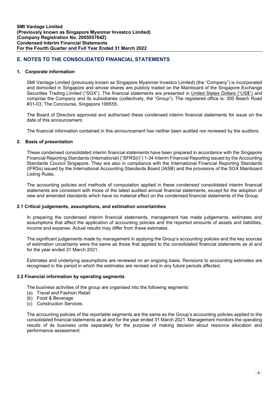# E. NOTES TO THE CONSOLIDATED FINANCIAL STATEMENTS

#### 1. Corporate information

SMI Vantage Limited (previously known as Singapore Myanmar Investco Limited) (the "Company") is incorporated and domiciled in Singapore and whose shares are publicly traded on the Mainboard of the Singapore Exchange Securities Trading Limited ("SGX"). The financial statements are presented in United States Dollars ("US\$") and comprise the Company and its subsidiaries (collectively, the "Group"). The registered office is: 300 Beach Road #31-03, The Concourse, Singapore 199555.

The Board of Directors approved and authorised these condensed interim financial statements for issue on the date of this announcement.

The financial information contained in this announcement has neither been audited nor reviewed by the auditors.

### 2. Basis of presentation

These condensed consolidated interim financial statements have been prepared in accordance with the Singapore Financial Reporting Standards (International) ("SFRS(I)") 1-34 Interim Financial Reporting issued by the Accounting Standards Council Singapore. They are also in compliance with the International Financial Reporting Standards (IFRSs) issued by the International Accounting Standards Board (IASB) and the provisions of the SGX Mainboard Listing Rules.

The accounting policies and methods of computation applied in these condensed consolidated interim financial statements are consistent with those of the latest audited annual financial statements, except for the adoption of new and amended standards which have no material effect on the condensed financial statements of the Group.

#### 2.1 Critical judgements, assumptions, and estimation uncertainties

In preparing the condensed interim financial statements, management has made judgements, estimates and assumptions that affect the application of accounting policies and the reported amounts of assets and liabilities, income and expense. Actual results may differ from these estimates.

The significant judgements made by management in applying the Group's accounting policies and the key sources of estimation uncertainty were the same as those that applied to the consolidated financial statements as at and for the year ended 31 March 2021.

Estimates and underlying assumptions are reviewed on an ongoing basis. Revisions to accounting estimates are recognised in the period in which the estimates are revised and in any future periods affected.

#### 2.2 Financial information by operating segments

The business activities of the group are organised into the following segments:

- (a) Travel and Fashion Retail
- (b) Food & Beverage
- (c) Construction Services

The accounting policies of the reportable segments are the same as the Group's accounting policies applied to the consolidated financial statements as at and for the year ended 31 March 2021. Management monitors the operating results of its business units separately for the purpose of making decision about resource allocation and performance assessment.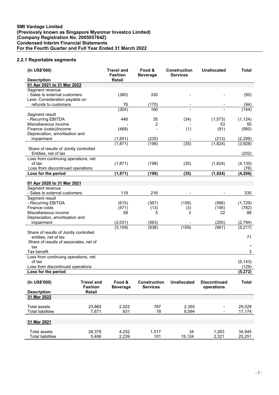# 2.2.1 Reportable segments

| (In US\$'000)                                  |                   | <b>Travel and</b><br><b>Fashion</b> | Food &<br><b>Beverage</b> | <b>Construction</b><br><b>Services</b> | <b>Unallocated</b>  | Total             |
|------------------------------------------------|-------------------|-------------------------------------|---------------------------|----------------------------------------|---------------------|-------------------|
| <b>Description</b>                             |                   | Retail                              |                           |                                        |                     |                   |
| 01 Apr 2021 to 31 Mar 2022                     |                   |                                     |                           |                                        |                     |                   |
| Segment revenue                                |                   |                                     |                           |                                        |                     |                   |
| - Sales to external customers                  |                   | (380)                               | 330                       |                                        |                     | (50)              |
| Less: Consideration payable on                 |                   |                                     |                           |                                        |                     |                   |
| refunds to customers                           |                   | 76                                  | (170)                     |                                        |                     | (94)              |
|                                                |                   | (304)                               | 160                       |                                        |                     | (144)             |
| Segment result                                 |                   |                                     |                           |                                        |                     |                   |
| - Recurring EBITDA<br>Miscellaneous income     |                   | 448                                 | 35                        | (34)                                   | (1, 573)            | (1, 124)          |
| Finance (costs)/income                         |                   | (468)                               | 2                         | (1)                                    | 53<br>(91)          | 55<br>(560)       |
| Depreciation, amortisation and                 |                   |                                     |                           |                                        |                     |                   |
| impairment                                     |                   | (1,851)                             | (235)                     |                                        | (213)               | (2, 299)          |
|                                                |                   | (1,871)                             | (198)                     | (35)                                   | (1,824)             | (3,928)           |
| Share of results of Jointly controlled         |                   |                                     |                           |                                        |                     |                   |
| Entities, net of tax                           |                   |                                     |                           |                                        |                     | (202)             |
| Loss from continuing operations, net           |                   |                                     |                           |                                        |                     |                   |
| of tax                                         |                   | (1,871)                             | (198)                     | (35)                                   | (1,824)             | (4, 130)          |
| Loss from discontinued operations              |                   |                                     |                           |                                        |                     | (76)              |
| Loss for the period                            |                   | (1, 871)                            | (198)                     | (35)                                   | (1, 824)            | (4, 206)          |
|                                                |                   |                                     |                           |                                        |                     |                   |
| 01 Apr 2020 to 31 Mar 2021                     |                   |                                     |                           |                                        |                     |                   |
| Segment revenue                                |                   |                                     |                           |                                        |                     |                   |
| - Sales to external customers                  |                   | 119                                 | 216                       |                                        |                     | 335               |
| Segment result                                 |                   |                                     |                           |                                        |                     |                   |
| - Recurring EBITDA                             |                   | (615)                               | (367)                     | (159)                                  | (588)               | (1, 729)          |
| Finance costs                                  |                   | (571)                               | (13)                      | (3)                                    | (195)               | (782)             |
| Miscellaneous income                           |                   | 58                                  | 5                         | 3                                      | 22                  | 88                |
| Depreciation, amortisation and                 |                   |                                     |                           |                                        |                     |                   |
| impairment                                     |                   | (2,031)                             | (563)                     |                                        | (200)               | (2,794)           |
|                                                |                   | (3, 159)                            | (938)                     | (159)                                  | (961)               | (5, 217)          |
| Share of results of Jointly controlled         |                   |                                     |                           |                                        |                     |                   |
| entities, net of tax                           |                   |                                     |                           |                                        |                     | 71                |
| Share of results of associates, net of         |                   |                                     |                           |                                        |                     |                   |
| tax                                            |                   |                                     |                           |                                        |                     |                   |
| Tax benefit                                    |                   |                                     |                           |                                        |                     | 3                 |
| Loss from continuing operations, net<br>of tax |                   |                                     |                           |                                        |                     |                   |
| Loss from discontinued operations              |                   |                                     |                           |                                        |                     | (5, 143)<br>(129) |
| Loss for the period                            |                   |                                     |                           |                                        |                     | (5, 272)          |
|                                                |                   |                                     |                           |                                        |                     |                   |
| (In US\$'000)                                  | <b>Travel and</b> | Food &                              | <b>Construction</b>       | <b>Unallocated</b>                     | <b>Discontinued</b> | <b>Total</b>      |
|                                                | <b>Fashion</b>    | <b>Beverage</b>                     | <b>Services</b>           |                                        | operations          |                   |
| <b>Description</b>                             | <b>Retail</b>     |                                     |                           |                                        |                     |                   |
| 31 Mar 2022                                    |                   |                                     |                           |                                        |                     |                   |
|                                                |                   |                                     |                           |                                        |                     |                   |
| <b>Total assets</b>                            | 23,865            | 2,022                               | 787                       | 2,355                                  |                     | 29,029            |
| <b>Total liabilities</b>                       | 7,671             | 831                                 | 78                        | 8,594                                  |                     | 17,174            |
|                                                |                   |                                     |                           |                                        |                     |                   |
| 31 Mar 2021                                    |                   |                                     |                           |                                        |                     |                   |
|                                                |                   |                                     |                           |                                        |                     |                   |
| <b>Total assets</b>                            | 28,379            | 4,252                               | 1,017                     | 34                                     | 1,263               | 34,945            |
| <b>Total liabilities</b>                       | 5,466             | 2,239                               | 101                       | 15,124                                 | 2,321               | 25,251            |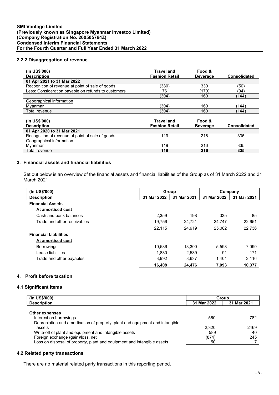# 2.2.2 Disaggregation of revenue

| (In US\$'000)<br><b>Description</b>                 | <b>Travel and</b><br><b>Fashion Retail</b> | Food &<br><b>Beverage</b> | <b>Consolidated</b> |
|-----------------------------------------------------|--------------------------------------------|---------------------------|---------------------|
| 01 Apr 2021 to 31 Mar 2022                          |                                            |                           |                     |
| Recognition of revenue at point of sale of goods    | (380)                                      | 330                       | (50)                |
| Less: Consideration payable on refunds to customers | 76                                         | (170)                     | (94)                |
|                                                     | (304)                                      | 160                       | (144)               |
| Geographical information                            |                                            |                           |                     |
| Myanmar                                             | (304)                                      | 160                       | (144)               |
| Total revenue                                       | (304)                                      | 160                       | (144)               |
|                                                     |                                            |                           |                     |
| (In US\$'000)                                       | <b>Travel and</b>                          | Food &                    |                     |
| <b>Description</b>                                  | <b>Fashion Retail</b>                      | <b>Beverage</b>           | Consolidated        |
| 01 Apr 2020 to 31 Mar 2021                          |                                            |                           |                     |
| Recognition of revenue at point of sale of goods    | 119                                        | 216                       | 335                 |
| Geographical information                            |                                            |                           |                     |
| Myanmar                                             | 119                                        | 216                       | 335                 |
| Total revenue                                       | 119                                        | 216                       | 335                 |

# 3. Financial assets and financial liabilities

Set out below is an overview of the financial assets and financial liabilities of the Group as of 31 March 2022 and 31 March 2021

| (In US\$'000)                | Group       |             |             | Company     |
|------------------------------|-------------|-------------|-------------|-------------|
| <b>Description</b>           | 31 Mar 2022 | 31 Mar 2021 | 31 Mar 2022 | 31 Mar 2021 |
| <b>Financial Assets</b>      |             |             |             |             |
| At amortised cost            |             |             |             |             |
| Cash and bank balances       | 2.359       | 198         | 335         | 85          |
| Trade and other receivables  | 19,756      | 24,721      | 24,747      | 22,651      |
|                              | 22,115      | 24,919      | 25,082      | 22,736      |
| <b>Financial Liabilities</b> |             |             |             |             |
| At amortised cost            |             |             |             |             |
| <b>Borrowings</b>            | 10.586      | 13.300      | 5.598       | 7,090       |
| Lease liabilities            | 1,830       | 2,539       | 91          | 171         |
| Trade and other payables     | 3.992       | 8.637       | 1.404       | 3,116       |
|                              | 16,408      | 24,476      | 7,093       | 10,377      |

# 4. Profit before taxation

## 4.1 Significant items

| (In US\$'000)                                                                 | Group       |             |  |
|-------------------------------------------------------------------------------|-------------|-------------|--|
| <b>Description</b>                                                            | 31 Mar 2022 | 31 Mar 2021 |  |
| <b>Other expenses</b>                                                         |             |             |  |
| Interest on borrowings                                                        | 560         | 782         |  |
| Depreciation and amortisation of property, plant and equipment and intangible |             |             |  |
| assets                                                                        | 2.320       | 2469        |  |
| Write-off of plant and equipment and intangible assets                        | 589         | 40          |  |
| Foreign exchange (gain)/loss, net                                             | (874)       | 245         |  |
| Loss on disposal of property, plant and equipment and intangible assets       | 50          |             |  |

## 4.2 Related party transactions

There are no material related party transactions in this reporting period.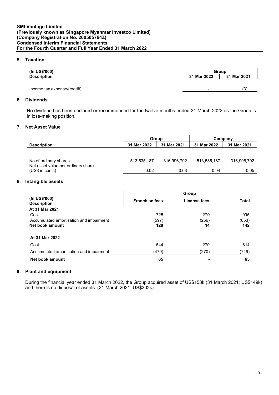# 5. Taxation

| (In US\$'000)               | Group       |             |  |  |
|-----------------------------|-------------|-------------|--|--|
| <b>Description</b>          | 31 Mar 2022 | 31 Mar 2021 |  |  |
|                             |             |             |  |  |
| Income tax expense/(credit) |             | (3          |  |  |

## 6. Dividends

No dividend has been declared or recommended for the twelve months ended 31 March 2022 as the Group is in loss-making position.

## 7. Net Asset Value

|                                                             | <b>Group</b> |             |             | Company     |
|-------------------------------------------------------------|--------------|-------------|-------------|-------------|
| <b>Description</b>                                          | 31 Mar 2022  | 31 Mar 2021 | 31 Mar 2022 | 31 Mar 2021 |
|                                                             |              |             |             |             |
| No of ordinary shares<br>Net asset value per ordinary share | 513,535,187  | 316,996,792 | 513,535,187 | 316,996,792 |
| (US\$ in cents)                                             | 0.02         | 0.03        | 0.04        | 0.05        |

#### 8. Intangible assets

|                                         | Group                 |              |              |
|-----------------------------------------|-----------------------|--------------|--------------|
| (In US\$'000)<br><b>Description</b>     | <b>Franchise fees</b> | License fees | <b>Total</b> |
| At 31 Mar 2021                          |                       |              |              |
| Cost                                    | 725                   | 270          | 995          |
| Accumulated amortisation and impairment | (597)                 | (256)        | (853)        |
| Net book amount                         | 128                   | 14           | 142          |
|                                         |                       |              |              |
| At 31 Mar 2022                          |                       |              |              |
| Cost                                    | 544                   | 270          | 814          |
| Accumulated amortisation and impairment | (479)                 | (270)        | (749)        |
| Net book amount                         | 65                    | -            | 65           |

# 9. Plant and equipment

During the financial year ended 31 March 2022, the Group acquired asset of US\$153k (31 March 2021: US\$149k) and there is no disposal of assets. (31 March 2021: US\$302k).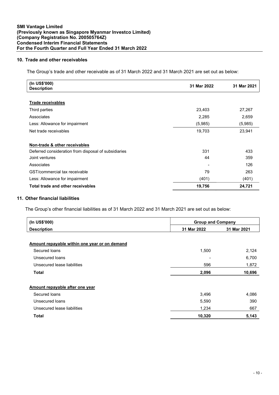# 10. Trade and other receivables

The Group's trade and other receivable as of 31 March 2022 and 31 March 2021 are set out as below:

| (In US\$'000)<br><b>Description</b>                  | 31 Mar 2022 | 31 Mar 2021 |
|------------------------------------------------------|-------------|-------------|
|                                                      |             |             |
| <b>Trade receivables</b>                             |             |             |
| Third parties                                        | 23,403      | 27,267      |
| Associates                                           | 2,285       | 2,659       |
| Less: Allowance for impairment                       | (5,985)     | (5,985)     |
| Net trade receivables                                | 19,703      | 23,941      |
|                                                      |             |             |
| Non-trade & other receivables                        |             |             |
| Deferred consideration from disposal of subsidiaries | 331         | 433         |
| Joint ventures                                       | 44          | 359         |
| Associates                                           |             | 126         |
| GST/commercial tax receivable                        | 79          | 263         |
| Less: Allowance for impairment                       | (401)       | (401)       |
| Total trade and other receivables                    | 19,756      | 24,721      |

# 11. Other financial liabilities

The Group's other financial liabilities as of 31 March 2022 and 31 March 2021 are set out as below:

| (In US\$'000)                                 | <b>Group and Company</b>   |        |  |
|-----------------------------------------------|----------------------------|--------|--|
| <b>Description</b>                            | 31 Mar 2022<br>31 Mar 2021 |        |  |
|                                               |                            |        |  |
| Amount repayable within one year or on demand |                            |        |  |
| Secured loans                                 | 1,500                      | 2,124  |  |
| Unsecured loans                               |                            | 6,700  |  |
| Unsecured lease liabilities                   | 596                        | 1,872  |  |
| <b>Total</b>                                  | 2,096                      | 10,696 |  |
| Amount repayable after one year               |                            |        |  |
| Secured loans                                 | 3,496                      | 4,086  |  |
| Unsecured loans                               | 5,590                      | 390    |  |
| Unsecured lease liabilities                   | 1,234                      | 667    |  |
| <b>Total</b>                                  | 10,320                     | 5,143  |  |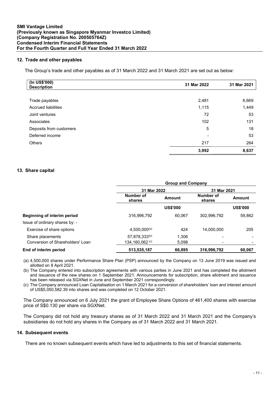# 12. Trade and other payables

The Group's trade and other payables as of 31 March 2022 and 31 March 2021 are set out as below:

| (In US\$'000)<br><b>Description</b> | 31 Mar 2022 | 31 Mar 2021 |
|-------------------------------------|-------------|-------------|
|                                     |             |             |
| Trade payables                      | 2,481       | 6,669       |
| <b>Accrued liabilities</b>          | 1,115       | 1,449       |
| Joint ventures                      | 72          | 53          |
| Associates                          | 102         | 131         |
| Deposits from customers             | 5           | 18          |
| Deferred income                     |             | 53          |
| <b>Others</b>                       | 217         | 264         |
|                                     | 3,992       | 8,637       |

### 13. Share capital

|                                    | <b>Group and Company</b>   |                 |                     |                 |
|------------------------------------|----------------------------|-----------------|---------------------|-----------------|
|                                    | 31 Mar 2022                |                 | 31 Mar 2021         |                 |
|                                    | Number of<br>shares        | <b>Amount</b>   | Number of<br>shares | <b>Amount</b>   |
|                                    |                            | <b>US\$'000</b> |                     | <b>US\$'000</b> |
| <b>Beginning of interim period</b> | 316,996,792                | 60.067          | 302.996.792         | 59,862          |
| Issue of ordinary shares by: -     |                            |                 |                     |                 |
| Exercise of share options          | $4,500,000^{(a)}$          | 424             | 14.000.000          | 205             |
| Share placements                   | 57,878,333 <sup>(b)</sup>  | 1,306           |                     |                 |
| Conversion of Shareholders' Loan   | 134,160,062 $\,^{\rm (c)}$ | 5,098           |                     |                 |
| End of interim period              | 513,535,187                | 66.895          | 316,996,792         | 60,067          |

(a) 4,500,000 shares under Performance Share Plan (PSP) announced by the Company on 13 June 2019 was issued and allotted on 8 April 2021.

(b) The Company entered into subscription agreements with various parties in June 2021 and has completed the allotment and issuance of the new shares on 1 September 2021. Announcements for subscription, share allotment and issuance has been released via SGXNet in June and September 2021 correspondingly.

(c) The Company announced Loan Capitalisation on 1 March 2021 for a conversion of shareholders' loan and interest amount of US\$5,050,582.39 into shares and was completed on 12 October 2021.

The Company announced on 6 July 2021 the grant of Employee Share Options of 461,400 shares with exercise price of S\$0.130 per share via SGXNet.

The Company did not hold any treasury shares as of 31 March 2022 and 31 March 2021 and the Company's subsidiaries do not hold any shares in the Company as of 31 March 2022 and 31 March 2021.

#### 14. Subsequent events

There are no known subsequent events which have led to adjustments to this set of financial statements.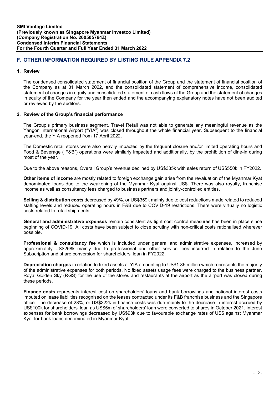# F. OTHER INFORMATION REQUIRED BY LISTING RULE APPENDIX 7.2

#### 1. Review

The condensed consolidated statement of financial position of the Group and the statement of financial position of the Company as at 31 March 2022, and the consolidated statement of comprehensive income, consolidated statement of changes in equity and consolidated statement of cash flows of the Group and the statement of changes in equity of the Company for the year then ended and the accompanying explanatory notes have not been audited or reviewed by the auditors.

#### 2. Review of the Group's financial performance

The Group's primary business segment, Travel Retail was not able to generate any meaningful revenue as the Yangon International Airport ("YIA") was closed throughout the whole financial year. Subsequent to the financial year-end, the YIA reopened from 17 April 2022.

The Domestic retail stores were also heavily impacted by the frequent closure and/or limited operating hours and Food & Beverage ("F&B") operations were similarly impacted and additionally, by the prohibition of dine-in during most of the year.

Due to the above reasons, Overall Group's revenue declined by US\$385k with sales return of US\$550k in FY2022.

Other items of income are mostly related to foreign exchange gain arise from the revaluation of the Myanmar Kyat denominated loans due to the weakening of the Myanmar Kyat against US\$. There was also royalty, franchise income as well as consultancy fees charged to business partners and jointly-controlled entities.

Selling & distribution costs decreased by 49%, or US\$359k mainly due to cost reductions made related to reduced staffing levels and reduced operating hours in F&B due to COVID-19 restrictions. There were virtually no logistic costs related to retail shipments.

General and administrative expenses remain consistent as tight cost control measures has been in place since beginning of COVID-19. All costs have been subject to close scrutiny with non-critical costs rationalised wherever possible.

Professional & consultancy fee which is included under general and administrative expenses, increased by approximately US\$268k mainly due to professional and other service fees incurred in relation to the June Subscription and share conversion for shareholders' loan in FY2022.

Depreciation charges in relation to fixed assets at YIA amounting to US\$1.85 million which represents the majority of the administrative expenses for both periods. No fixed assets usage fees were charged to the business partner, Royal Golden Sky (RGS) for the use of the stores and restaurants at the airport as the airport was closed during these periods.

Finance costs represents interest cost on shareholders' loans and bank borrowings and notional interest costs imputed on lease liabilities recognised on the leases contracted under its F&B franchise business and the Singapore office. The decrease of 28%, or US\$222k in finance costs was due mainly to the decrease in interest accrued by US\$100k for shareholders' loan as US\$5m of shareholders' loan were converted to shares in October 2021. Interest expenses for bank borrowings decreased by US\$93k due to favourable exchange rates of US\$ against Myanmar Kyat for bank loans denominated in Myanmar Kyat.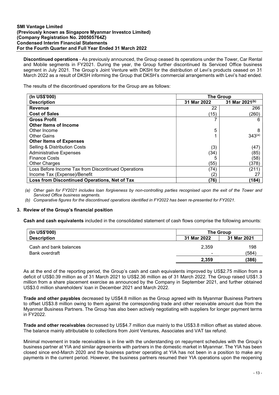#### SMI Vantage Limited (Previously known as Singapore Myanmar Investco Limited) (Company Registration No. 200505764Z) Condensed Interim Financial Statements For the Fourth Quarter and Full Year Ended 31 March 2022

Discontinued operations - As previously announced, the Group ceased its operations under the Tower, Car Rental and Mobile segments in FY2021. During the year, the Group further discontinued its Serviced Office business segment in July 2021. The Group's Joint Venture with DKSH for the distribution of Levi's products ceased on 31 March 2022 as a result of DKSH informing the Group that DKSH's commercial arrangements with Levi's had ended.

The results of the discontinued operations for the Group are as follows:

| (In US\$'000)                                       | <b>The Group</b> |                |
|-----------------------------------------------------|------------------|----------------|
| <b>Description</b>                                  | 31 Mar 2022      | 31 Mar 2021(b) |
| <b>Revenue</b>                                      | 22               | 266            |
| <b>Cost of Sales</b>                                | (15)             | (260)          |
| <b>Gross Profit</b>                                 |                  | 6              |
| Other Items of Income                               |                  |                |
| Other Income                                        | 5                | 8              |
| <b>Other Gains</b>                                  |                  | $343^{(a)}$    |
| <b>Other Items of Expenses</b>                      |                  |                |
| Selling & Distribution Costs                        | (3)              | (47)           |
| <b>Administrative Expenses</b>                      | (34)             | (85)           |
| <b>Finance Costs</b>                                |                  | (58)           |
| <b>Other Charges</b>                                | (55)             | (378)          |
| Loss Before Income Tax from Discontinued Operations | (74)             | (211)          |
| Income Tax (Expense)/Benefit                        | 2                | 27             |
| Loss from Discontinued Operations, Net of Tax       | (76)             | (184)          |

(a) Other gain for FY2021 includes loan forgiveness by non-controlling parties recognised upon the exit of the Tower and Serviced Office business segments.

(b) Comparative figures for the discontinued operations identified in FY2022 has been re-presented for FY2021.

#### 3. Review of the Group's financial position

Cash and cash equivalents included in the consolidated statement of cash flows comprise the following amounts:

| (In US\$'000)          |                          | The Group   |  |  |
|------------------------|--------------------------|-------------|--|--|
| <b>Description</b>     | 31 Mar 2022              | 31 Mar 2021 |  |  |
| Cash and bank balances | 2,359                    | 198         |  |  |
| Bank overdraft         | $\overline{\phantom{0}}$ | (584)       |  |  |
|                        | 2.359                    | (386)       |  |  |

As at the end of the reporting period, the Group's cash and cash equivalents improved by US\$2.75 million from a deficit of US\$0.39 million as of 31 March 2021 to US\$2.36 million as of 31 March 2022. The Group raised US\$1.3 million from a share placement exercise as announced by the Company in September 2021, and further obtained US\$3.0 million shareholders' loan in December 2021 and March 2022.

Trade and other payables decreased by US\$4.8 million as the Group agreed with its Myanmar Business Partners to offset US\$3.8 million owing to them against the corresponding trade and other receivable amount due from the Myanmar Business Partners. The Group has also been actively negotiating with suppliers for longer payment terms in FY2022.

Trade and other receivables decreased by US\$4.7 million due mainly to the US\$3.8 million offset as stated above. The balance mainly attributable to collections from Joint Ventures, Associates and VAT tax refund.

Minimal movement in trade receivables is in line with the understanding on repayment schedules with the Group's business partner at YIA and similar agreements with partners in the domestic market in Myanmar. The YIA has been closed since end-March 2020 and the business partner operating at YIA has not been in a position to make any payments in the current period. However, the business partners resumed their YIA operations upon the reopening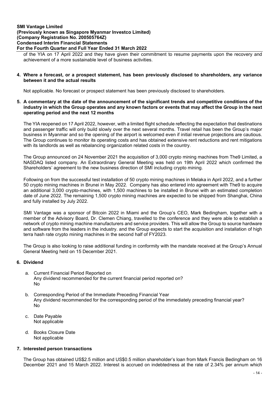### SMI Vantage Limited (Previously known as Singapore Myanmar Investco Limited) (Company Registration No. 200505764Z) Condensed Interim Financial Statements For the Fourth Quarter and Full Year Ended 31 March 2022

of the YIA on 17 April 2022 and they have given their commitment to resume payments upon the recovery and achievement of a more sustainable level of business activities.

#### 4. Where a forecast, or a prospect statement, has been previously disclosed to shareholders, any variance between it and the actual results

Not applicable. No forecast or prospect statement has been previously disclosed to shareholders.

5. A commentary at the date of the announcement of the significant trends and competitive conditions of the industry in which the Group operates and any known factors or events that may affect the Group in the next operating period and the next 12 months

The YIA reopened on 17 April 2022, however, with a limited flight schedule reflecting the expectation that destinations and passenger traffic will only build slowly over the next several months. Travel retail has been the Group's major business in Myanmar and so the opening of the airport is welcomed even if initial revenue projections are cautious. The Group continues to monitor its operating costs and has obtained extensive rent reductions and rent mitigations with its landlords as well as rebalancing organization related costs in the country.

The Group announced on 24 November 2021 the acquisition of 3,000 crypto mining machines from The9 Limited, a NASDAQ listed company. An Extraordinary General Meeting was held on 19th April 2022 which confirmed the Shareholders' agreement to the new business direction of SMI including crypto mining.

Following on from the successful test installation of 50 crypto mining machines in Melaka in April 2022, and a further 50 crypto mining machines in Brunei in May 2022. Company has also entered into agreement with The9 to acquire an additional 3,000 crypto-machines, with 1,500 machines to be installed in Brunei with an estimated completion date of June 2022. The remaining 1,500 crypto mining machines are expected to be shipped from Shanghai, China and fully installed by July 2022.

SMI Vantage was a sponsor of Bitcoin 2022 in Miami and the Group's CEO, Mark Bedingham, together with a member of the Advisory Board, Dr. Clemen Chiang, travelled to the conference and they were able to establish a network of crypto mining machine manufacturers and service providers. This will allow the Group to source hardware and software from the leaders in the industry. and the Group expects to start the acquisition and installation of high terra hash rate crypto mining machines in the second half of FY2023.

The Group is also looking to raise additional funding in conformity with the mandate received at the Group's Annual General Meeting held on 15 December 2021.

# 6. Dividend

- a. Current Financial Period Reported on Any dividend recommended for the current financial period reported on? No
- b. Corresponding Period of the Immediate Preceding Financial Year Any dividend recommended for the corresponding period of the immediately preceding financial year? No
- c. Date Payable Not applicable
- d. Books Closure Date Not applicable

#### 7. Interested person transactions

The Group has obtained US\$2.5 million and US\$0.5 million shareholder's loan from Mark Francis Bedingham on 16 December 2021 and 15 March 2022. Interest is accrued on indebtedness at the rate of 2.34% per annum which